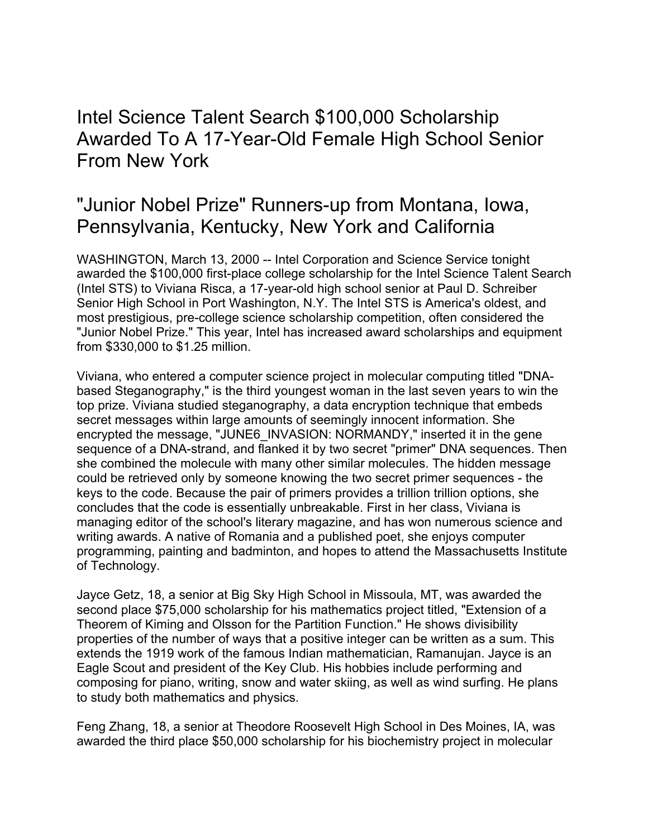Intel Science Talent Search \$100,000 Scholarship Awarded To A 17-Year-Old Female High School Senior From New York

## "Junior Nobel Prize" Runners-up from Montana, Iowa, Pennsylvania, Kentucky, New York and California

WASHINGTON, March 13, 2000 -- Intel Corporation and Science Service tonight awarded the \$100,000 first-place college scholarship for the Intel Science Talent Search (Intel STS) to Viviana Risca, a 17-year-old high school senior at Paul D. Schreiber Senior High School in Port Washington, N.Y. The Intel STS is America's oldest, and most prestigious, pre-college science scholarship competition, often considered the "Junior Nobel Prize." This year, Intel has increased award scholarships and equipment from \$330,000 to \$1.25 million.

Viviana, who entered a computer science project in molecular computing titled "DNAbased Steganography," is the third youngest woman in the last seven years to win the top prize. Viviana studied steganography, a data encryption technique that embeds secret messages within large amounts of seemingly innocent information. She encrypted the message, "JUNE6\_INVASION: NORMANDY," inserted it in the gene sequence of a DNA-strand, and flanked it by two secret "primer" DNA sequences. Then she combined the molecule with many other similar molecules. The hidden message could be retrieved only by someone knowing the two secret primer sequences - the keys to the code. Because the pair of primers provides a trillion trillion options, she concludes that the code is essentially unbreakable. First in her class, Viviana is managing editor of the school's literary magazine, and has won numerous science and writing awards. A native of Romania and a published poet, she enjoys computer programming, painting and badminton, and hopes to attend the Massachusetts Institute of Technology.

Jayce Getz, 18, a senior at Big Sky High School in Missoula, MT, was awarded the second place \$75,000 scholarship for his mathematics project titled, "Extension of a Theorem of Kiming and Olsson for the Partition Function." He shows divisibility properties of the number of ways that a positive integer can be written as a sum. This extends the 1919 work of the famous Indian mathematician, Ramanujan. Jayce is an Eagle Scout and president of the Key Club. His hobbies include performing and composing for piano, writing, snow and water skiing, as well as wind surfing. He plans to study both mathematics and physics.

Feng Zhang, 18, a senior at Theodore Roosevelt High School in Des Moines, IA, was awarded the third place \$50,000 scholarship for his biochemistry project in molecular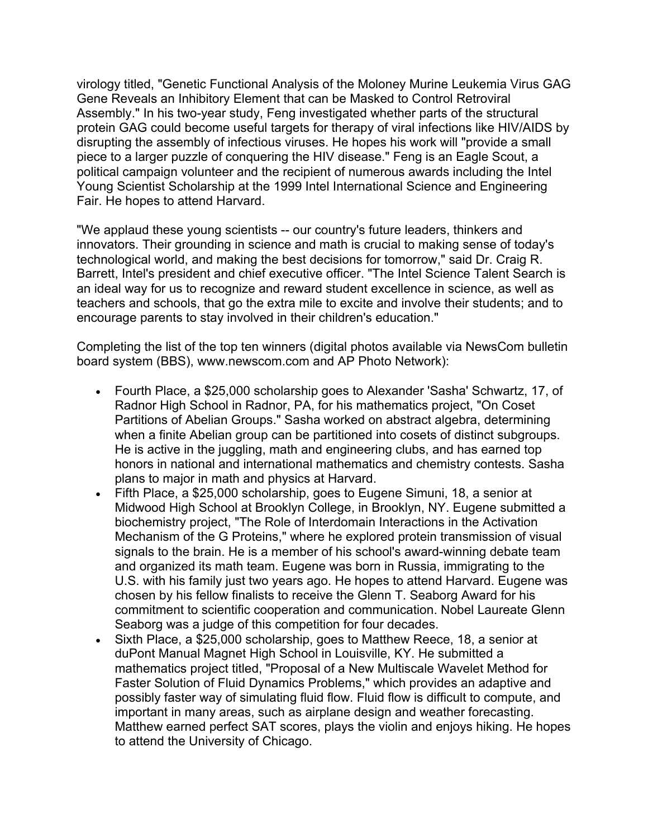virology titled, "Genetic Functional Analysis of the Moloney Murine Leukemia Virus GAG Gene Reveals an Inhibitory Element that can be Masked to Control Retroviral Assembly." In his two-year study, Feng investigated whether parts of the structural protein GAG could become useful targets for therapy of viral infections like HIV/AIDS by disrupting the assembly of infectious viruses. He hopes his work will "provide a small piece to a larger puzzle of conquering the HIV disease." Feng is an Eagle Scout, a political campaign volunteer and the recipient of numerous awards including the Intel Young Scientist Scholarship at the 1999 Intel International Science and Engineering Fair. He hopes to attend Harvard.

"We applaud these young scientists -- our country's future leaders, thinkers and innovators. Their grounding in science and math is crucial to making sense of today's technological world, and making the best decisions for tomorrow," said Dr. Craig R. Barrett, Intel's president and chief executive officer. "The Intel Science Talent Search is an ideal way for us to recognize and reward student excellence in science, as well as teachers and schools, that go the extra mile to excite and involve their students; and to encourage parents to stay involved in their children's education."

Completing the list of the top ten winners (digital photos available via NewsCom bulletin board system (BBS), www.newscom.com and AP Photo Network):

- Fourth Place, a \$25,000 scholarship goes to Alexander 'Sasha' Schwartz, 17, of Radnor High School in Radnor, PA, for his mathematics project, "On Coset Partitions of Abelian Groups." Sasha worked on abstract algebra, determining when a finite Abelian group can be partitioned into cosets of distinct subgroups. He is active in the juggling, math and engineering clubs, and has earned top honors in national and international mathematics and chemistry contests. Sasha plans to major in math and physics at Harvard.
- Fifth Place, a \$25,000 scholarship, goes to Eugene Simuni, 18, a senior at Midwood High School at Brooklyn College, in Brooklyn, NY. Eugene submitted a biochemistry project, "The Role of Interdomain Interactions in the Activation Mechanism of the G Proteins," where he explored protein transmission of visual signals to the brain. He is a member of his school's award-winning debate team and organized its math team. Eugene was born in Russia, immigrating to the U.S. with his family just two years ago. He hopes to attend Harvard. Eugene was chosen by his fellow finalists to receive the Glenn T. Seaborg Award for his commitment to scientific cooperation and communication. Nobel Laureate Glenn Seaborg was a judge of this competition for four decades.
- Sixth Place, a \$25,000 scholarship, goes to Matthew Reece, 18, a senior at duPont Manual Magnet High School in Louisville, KY. He submitted a mathematics project titled, "Proposal of a New Multiscale Wavelet Method for Faster Solution of Fluid Dynamics Problems," which provides an adaptive and possibly faster way of simulating fluid flow. Fluid flow is difficult to compute, and important in many areas, such as airplane design and weather forecasting. Matthew earned perfect SAT scores, plays the violin and enjoys hiking. He hopes to attend the University of Chicago.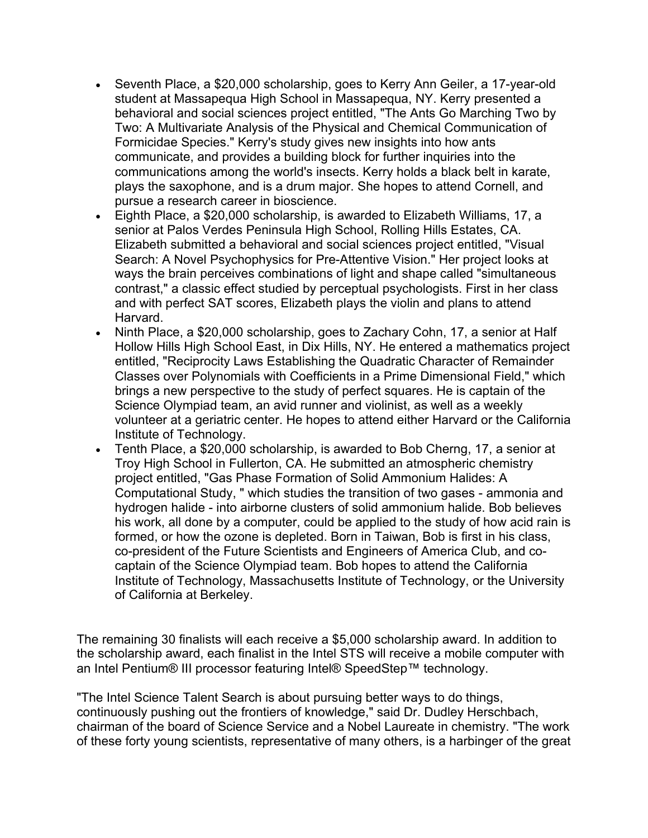- Seventh Place, a \$20,000 scholarship, goes to Kerry Ann Geiler, a 17-year-old student at Massapequa High School in Massapequa, NY. Kerry presented a behavioral and social sciences project entitled, "The Ants Go Marching Two by Two: A Multivariate Analysis of the Physical and Chemical Communication of Formicidae Species." Kerry's study gives new insights into how ants communicate, and provides a building block for further inquiries into the communications among the world's insects. Kerry holds a black belt in karate, plays the saxophone, and is a drum major. She hopes to attend Cornell, and pursue a research career in bioscience.
- Eighth Place, a \$20,000 scholarship, is awarded to Elizabeth Williams, 17, a senior at Palos Verdes Peninsula High School, Rolling Hills Estates, CA. Elizabeth submitted a behavioral and social sciences project entitled, "Visual Search: A Novel Psychophysics for Pre-Attentive Vision." Her project looks at ways the brain perceives combinations of light and shape called "simultaneous contrast," a classic effect studied by perceptual psychologists. First in her class and with perfect SAT scores, Elizabeth plays the violin and plans to attend Harvard.
- Ninth Place, a \$20,000 scholarship, goes to Zachary Cohn, 17, a senior at Half Hollow Hills High School East, in Dix Hills, NY. He entered a mathematics project entitled, "Reciprocity Laws Establishing the Quadratic Character of Remainder Classes over Polynomials with Coefficients in a Prime Dimensional Field," which brings a new perspective to the study of perfect squares. He is captain of the Science Olympiad team, an avid runner and violinist, as well as a weekly volunteer at a geriatric center. He hopes to attend either Harvard or the California Institute of Technology.
- Tenth Place, a \$20,000 scholarship, is awarded to Bob Cherng, 17, a senior at Troy High School in Fullerton, CA. He submitted an atmospheric chemistry project entitled, "Gas Phase Formation of Solid Ammonium Halides: A Computational Study, " which studies the transition of two gases - ammonia and hydrogen halide - into airborne clusters of solid ammonium halide. Bob believes his work, all done by a computer, could be applied to the study of how acid rain is formed, or how the ozone is depleted. Born in Taiwan, Bob is first in his class, co-president of the Future Scientists and Engineers of America Club, and cocaptain of the Science Olympiad team. Bob hopes to attend the California Institute of Technology, Massachusetts Institute of Technology, or the University of California at Berkeley.

The remaining 30 finalists will each receive a \$5,000 scholarship award. In addition to the scholarship award, each finalist in the Intel STS will receive a mobile computer with an Intel Pentium® III processor featuring Intel® SpeedStep™ technology.

"The Intel Science Talent Search is about pursuing better ways to do things, continuously pushing out the frontiers of knowledge," said Dr. Dudley Herschbach, chairman of the board of Science Service and a Nobel Laureate in chemistry. "The work of these forty young scientists, representative of many others, is a harbinger of the great